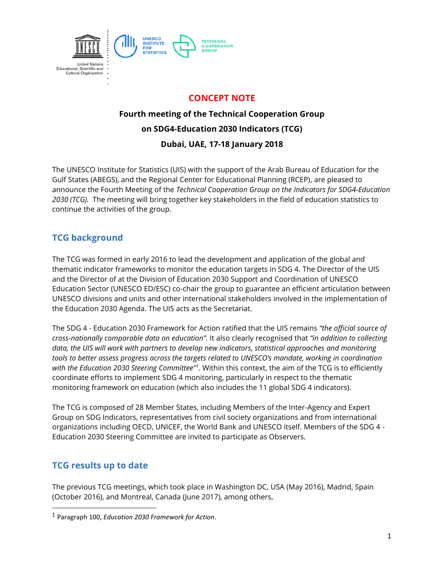

### **CONCEPT NOTE**

# **Fourth meeting of the Technical Cooperation Group on SDG4-Education 2030 Indicators (TCG) Dubai, UAE, 17-18 January 2018**

The UNESCO Institute for Statistics (UIS) with the support of the Arab Bureau of Education for the Gulf States (ABEGS), and the Regional Center for Educational Planning (RCEP), are pleased to announce the Fourth Meeting of the *Technical Cooperation Group on the Indicators for SDG4-Education 2030 (TCG).* The meeting will bring together key stakeholders in the field of education statistics to continue the activities of the group.

### **TCG background**

The TCG was formed in early 2016 to lead the development and application of the global and thematic indicator frameworks to monitor the education targets in SDG 4. The Director of the UIS and the Director of at the Division of Education 2030 Support and Coordination of UNESCO Education Sector (UNESCO ED/ESC) co-chair the group to guarantee an efficient articulation between UNESCO divisions and units and other international stakeholders involved in the implementation of the Education 2030 Agenda. The UIS acts as the Secretariat.

The SDG 4 - Education 2030 Framework for Action ratified that the UIS remains *"the official source of cross-nationally comparable data on education".* It also clearly recognised that *"in addition to collecting data, the UIS will work with partners to develop new indicators, statistical approaches and monitoring tools to better assess progress across the targets related to UNESCO's mandate, working in coordination*  with the Education 2030 Steering Committee<sup>ri</sup>. Within this context, the aim of the TCG is to efficiently coordinate efforts to implement SDG 4 monitoring, particularly in respect to the thematic monitoring framework on education (which also includes the 11 global SDG 4 indicators).

The TCG is composed of 28 Member States, including Members of the Inter-Agency and Expert Group on SDG Indicators, representatives from civil society organizations and from international organizations including OECD, UNICEF, the World Bank and UNESCO itself. Members of the SDG 4 - Education 2030 Steering Committee are invited to participate as Observers.

### **TCG results up to date**

l

The previous TCG meetings, which took place in Washington DC, USA (May 2016), Madrid, Spain (October 2016), and Montreal, Canada (June 2017), among others,

<sup>1</sup> Paragraph 100, *Education 2030 Framework for Action*.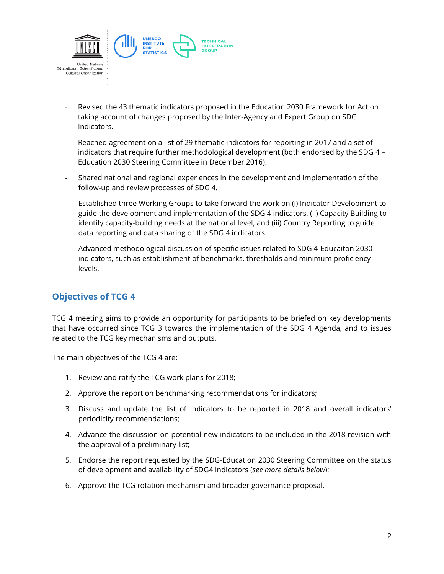

- Revised the 43 thematic indicators proposed in the Education 2030 Framework for Action taking account of changes proposed by the Inter-Agency and Expert Group on SDG Indicators.
- Reached agreement on a list of 29 thematic indicators for reporting in 2017 and a set of indicators that require further methodological development (both endorsed by the SDG 4 – Education 2030 Steering Committee in December 2016).
- Shared national and regional experiences in the development and implementation of the follow-up and review processes of SDG 4.
- Established three Working Groups to take forward the work on (i) Indicator Development to guide the development and implementation of the SDG 4 indicators, (ii) Capacity Building to identify capacity-building needs at the national level, and (iii) Country Reporting to guide data reporting and data sharing of the SDG 4 indicators.
- Advanced methodological discussion of specific issues related to SDG 4-Educaiton 2030 indicators, such as establishment of benchmarks, thresholds and minimum proficiency levels.

#### **Objectives of TCG 4**

TCG 4 meeting aims to provide an opportunity for participants to be briefed on key developments that have occurred since TCG 3 towards the implementation of the SDG 4 Agenda, and to issues related to the TCG key mechanisms and outputs.

The main objectives of the TCG 4 are:

- 1. Review and ratify the TCG work plans for 2018;
- 2. Approve the report on benchmarking recommendations for indicators;
- 3. Discuss and update the list of indicators to be reported in 2018 and overall indicators' periodicity recommendations;
- 4. Advance the discussion on potential new indicators to be included in the 2018 revision with the approval of a preliminary list;
- 5. Endorse the report requested by the SDG-Education 2030 Steering Committee on the status of development and availability of SDG4 indicators (*see more details below*);
- 6. Approve the TCG rotation mechanism and broader governance proposal.